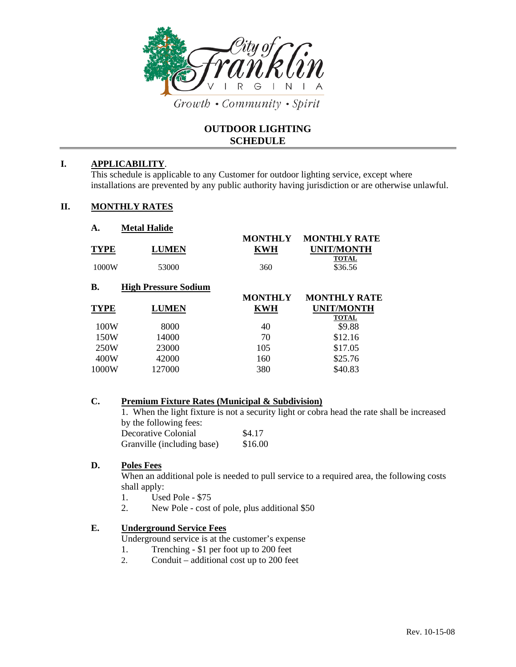

Growth • Community • Spirit

# **OUTDOOR LIGHTING SCHEDULE**

### **I. APPLICABILITY**.

This schedule is applicable to any Customer for outdoor lighting service, except where installations are prevented by any public authority having jurisdiction or are otherwise unlawful.

#### **II. MONTHLY RATES**

| А.                   | <b>Metal Halide</b>         |                                     |                                                                     |
|----------------------|-----------------------------|-------------------------------------|---------------------------------------------------------------------|
| <b>TYPE</b><br>1000W | LUMEN<br>53000              | <b>MONTHLY</b><br><b>KWH</b><br>360 | <b>MONTHLY RATE</b><br><b>UNIT/MONTH</b><br><b>TOTAL</b><br>\$36.56 |
| В.                   | <b>High Pressure Sodium</b> | <b>MONTHLY</b>                      | <b>MONTHLY RATE</b>                                                 |
| <b>TYPE</b>          | <b>LUMEN</b>                | <b>KWH</b>                          | UNIT/MONTH                                                          |
| 100W                 | 8000                        | 40                                  | <b>TOTAL</b><br>\$9.88                                              |
|                      |                             |                                     |                                                                     |
| 150W                 | 14000                       | 70                                  | \$12.16                                                             |
| 250W                 | 23000                       | 105                                 | \$17.05                                                             |
| 400W                 | 42000                       | 160                                 | \$25.76                                                             |

### **C. Premium Fixture Rates (Municipal & Subdivision)**

1. When the light fixture is not a security light or cobra head the rate shall be increased by the following fees: Decorative Colonial \$4.17

| 2000 UU I V OO IVIIIWI |                            | <u>.</u> |
|------------------------|----------------------------|----------|
|                        | Granville (including base) | \$16.00  |

## **D. Poles Fees**

When an additional pole is needed to pull service to a required area, the following costs shall apply:

- 1. Used Pole \$75
- 2. New Pole cost of pole, plus additional \$50

# **E. Underground Service Fees**

- Underground service is at the customer's expense
- 1. Trenching \$1 per foot up to 200 feet
- 2. Conduit additional cost up to 200 feet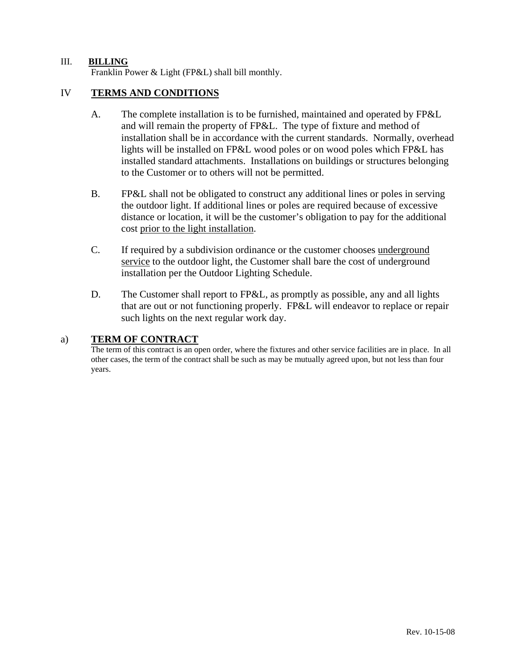### III. **BILLING**

Franklin Power & Light (FP&L) shall bill monthly.

# IV **TERMS AND CONDITIONS**

- A. The complete installation is to be furnished, maintained and operated by FP&L and will remain the property of FP&L. The type of fixture and method of installation shall be in accordance with the current standards. Normally, overhead lights will be installed on FP&L wood poles or on wood poles which FP&L has installed standard attachments. Installations on buildings or structures belonging to the Customer or to others will not be permitted.
- B. FP&L shall not be obligated to construct any additional lines or poles in serving the outdoor light. If additional lines or poles are required because of excessive distance or location, it will be the customer's obligation to pay for the additional cost prior to the light installation.
- C. If required by a subdivision ordinance or the customer chooses underground service to the outdoor light, the Customer shall bare the cost of underground installation per the Outdoor Lighting Schedule.
- D. The Customer shall report to FP&L, as promptly as possible, any and all lights that are out or not functioning properly. FP&L will endeavor to replace or repair such lights on the next regular work day.

#### a) **TERM OF CONTRACT**

The term of this contract is an open order, where the fixtures and other service facilities are in place. In all other cases, the term of the contract shall be such as may be mutually agreed upon, but not less than four years.